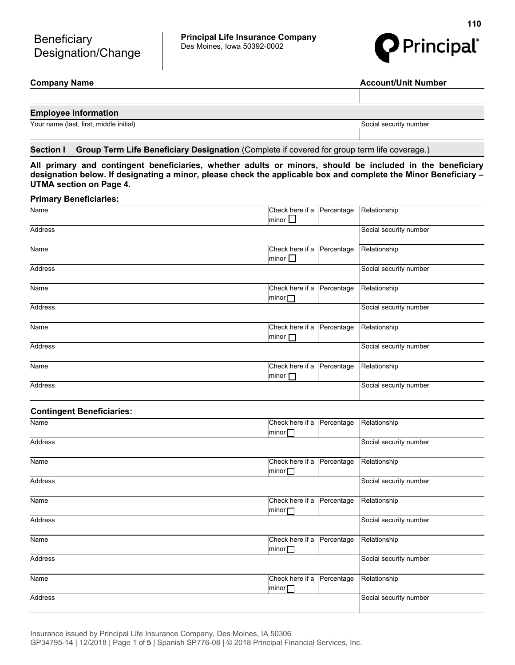**Principal Life Insurance Company**  Des Moines, Iowa 50392-0002



**Company Name Account/Unit Number 2018** 

# **Employee Information**

Your name (last, first, middle initial) Social security number

# **Section I Group Term Life Beneficiary Designation** (Complete if covered for group term life coverage.)

**All primary and contingent beneficiaries, whether adults or minors, should be included in the beneficiary designation below. If designating a minor, please check the applicable box and complete the Minor Beneficiary – UTMA section on Page 4.**

# **Primary Beneficiaries:**

| Name                             | Check here if a Percentage<br>minor $\Box$    | Relationship           |
|----------------------------------|-----------------------------------------------|------------------------|
| Address                          |                                               | Social security number |
| Name                             | Check here if a Percentage<br>minor $\square$ | Relationship           |
| Address                          |                                               | Social security number |
| Name                             | Check here if a Percentage<br>minor $\square$ | Relationship           |
| Address                          |                                               | Social security number |
| Name                             | Check here if a Percentage<br>minor $\square$ | Relationship           |
| <b>Address</b>                   |                                               | Social security number |
| Name                             | Check here if a<br>Percentage<br>minor $\Box$ | Relationship           |
| <b>Address</b>                   |                                               | Social security number |
| <b>Contingent Beneficiaries:</b> |                                               |                        |
| Name                             | Check here if a Percentage<br>minor $\square$ | Relationship           |
| <b>Address</b>                   |                                               | Social security number |
| Name                             | Check here if a Percentage<br>minor $\square$ | Relationship           |
| Address                          |                                               | Social security number |
| Name                             | Check here if a<br>Percentage<br>minor $\Box$ | Relationship           |
| <b>Address</b>                   |                                               | Social security number |
| Name                             | Check here if a<br>Percentage<br>minor $\Box$ | Relationship           |
| Address                          |                                               | Social security number |
| Name                             | Check here if a Percentage<br>minor $\Box$    | Relationship           |
| Address                          |                                               | Social security number |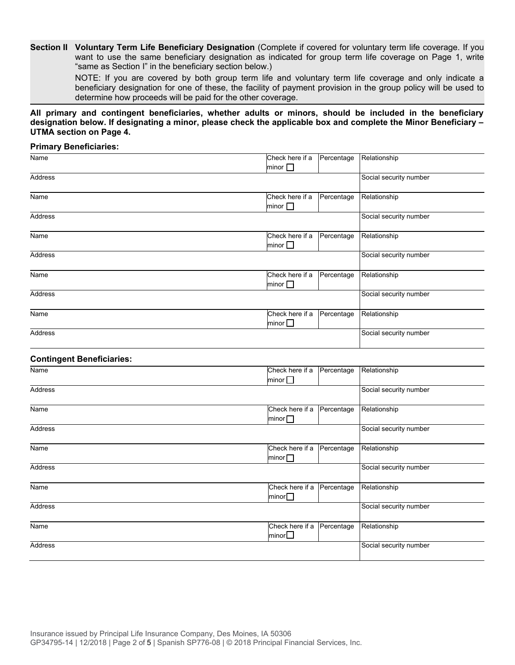**Section II Voluntary Term Life Beneficiary Designation** (Complete if covered for voluntary term life coverage. If you want to use the same beneficiary designation as indicated for group term life coverage on Page 1, write "same as Section I" in the beneficiary section below.)

NOTE: If you are covered by both group term life and voluntary term life coverage and only indicate a beneficiary designation for one of these, the facility of payment provision in the group policy will be used to determine how proceeds will be paid for the other coverage.

**All primary and contingent beneficiaries, whether adults or minors, should be included in the beneficiary designation below. If designating a minor, please check the applicable box and complete the Minor Beneficiary – UTMA section on Page 4.**

### **Primary Beneficiaries:**

| Name    | Check here if a<br>Percentage                    | Relationship           |
|---------|--------------------------------------------------|------------------------|
| Address | minor $\square$                                  | Social security number |
| Name    | Check here if a<br>Percentage<br>minor $\Box$    | Relationship           |
| Address |                                                  | Social security number |
| Name    | Check here if a<br>Percentage<br>minor $\square$ | Relationship           |
| Address |                                                  | Social security number |
| Name    | Check here if a<br>Percentage<br>minor $\Box$    | Relationship           |
| Address |                                                  | Social security number |
| Name    | Check here if a<br>Percentage<br>minor $\Box$    | Relationship           |
| Address |                                                  | Social security number |

### **Contingent Beneficiaries:**

| Name    | Check here if a                 | Percentage | Relationship           |
|---------|---------------------------------|------------|------------------------|
|         | minor $\square$                 |            |                        |
| Address |                                 |            | Social security number |
| Name    | Check here if a<br>minor $\Box$ | Percentage | Relationship           |
| Address |                                 |            | Social security number |
| Name    | Check here if a<br>minor $\Box$ | Percentage | Relationship           |
| Address |                                 |            | Social security number |
| Name    | Check here if a<br>minor $\Box$ | Percentage | Relationship           |
| Address |                                 |            | Social security number |
| Name    | Check here if a<br>minor $\Box$ | Percentage | Relationship           |
| Address |                                 |            | Social security number |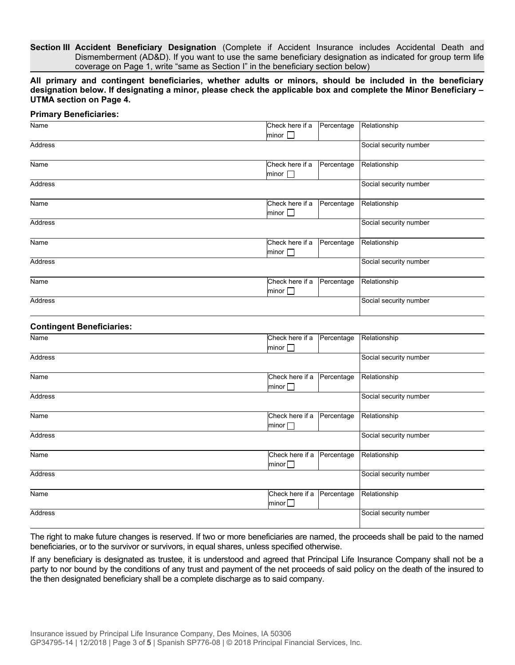**Section III Accident Beneficiary Designation** (Complete if Accident Insurance includes Accidental Death and Dismemberment (AD&D). If you want to use the same beneficiary designation as indicated for group term life coverage on Page 1, write "same as Section I" in the beneficiary section below)

**All primary and contingent beneficiaries, whether adults or minors, should be included in the beneficiary designation below. If designating a minor, please check the applicable box and complete the Minor Beneficiary – UTMA section on Page 4.**

| <b>Primary Beneficiaries:</b>    |                                                  |                        |
|----------------------------------|--------------------------------------------------|------------------------|
| Name                             | Check here if a<br>Percentage<br>minor $\Box$    | Relationship           |
| Address                          |                                                  | Social security number |
| Name                             | Check here if a<br>Percentage<br>minor $\Box$    | Relationship           |
| Address                          |                                                  | Social security number |
| Name                             | Check here if a<br>Percentage<br>minor $\square$ | Relationship           |
| <b>Address</b>                   |                                                  | Social security number |
| Name                             | Check here if a<br>Percentage<br>minor $\Box$    | Relationship           |
| Address                          |                                                  | Social security number |
| Name                             | Check here if a<br>Percentage<br>minor           | Relationship           |
| Address                          |                                                  | Social security number |
| <b>Contingent Beneficiaries:</b> |                                                  |                        |
| Nomo                             | Chock hara if a Decreational Polationship        |                        |

| Name    | Check here if a<br>Percentage | Relationship           |
|---------|-------------------------------|------------------------|
|         | minor $\Box$                  |                        |
| Address |                               | Social security number |
|         |                               |                        |
| Name    | Check here if a<br>Percentage | Relationship           |
|         | minor $\Box$                  |                        |
| Address |                               | Social security number |
|         |                               |                        |
| Name    | Check here if a<br>Percentage | Relationship           |
|         | minor $\Box$                  |                        |
| Address |                               | Social security number |
|         |                               |                        |
| Name    | Check here if a<br>Percentage | Relationship           |
|         | minor $\Box$                  |                        |
| Address |                               | Social security number |
|         |                               |                        |
| Name    | Check here if a<br>Percentage | Relationship           |
|         | minor $\square$               |                        |
| Address |                               | Social security number |
|         |                               |                        |

The right to make future changes is reserved. If two or more beneficiaries are named, the proceeds shall be paid to the named beneficiaries, or to the survivor or survivors, in equal shares, unless specified otherwise.

If any beneficiary is designated as trustee, it is understood and agreed that Principal Life Insurance Company shall not be a party to nor bound by the conditions of any trust and payment of the net proceeds of said policy on the death of the insured to the then designated beneficiary shall be a complete discharge as to said company.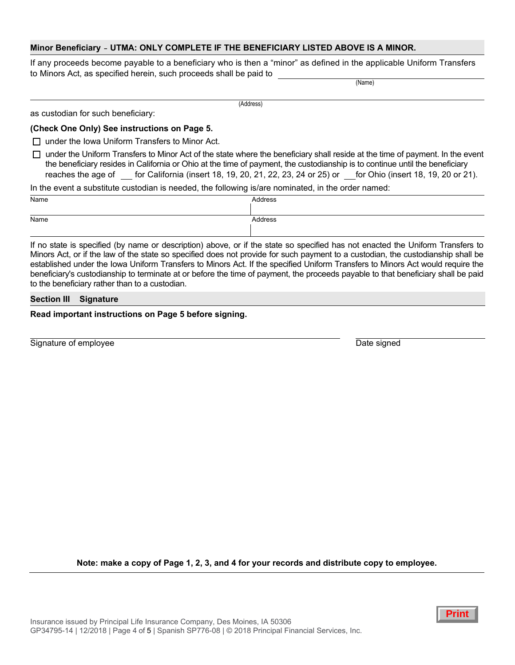# **Minor Beneficiary** - **UTMA: ONLY COMPLETE IF THE BENEFICIARY LISTED ABOVE IS A MINOR.**

If any proceeds become payable to a beneficiary who is then a "minor" as defined in the applicable Uniform Transfers to Minors Act, as specified herein, such proceeds shall be paid to

(Name)

as custodian for such beneficiary:

#### **(Check One Only) See instructions on Page 5.**

 $\Box$  under the Iowa Uniform Transfers to Minor Act.

(Address)

 $\Box$  under the Uniform Transfers to Minor Act of the state where the beneficiary shall reside at the time of payment. In the event the beneficiary resides in California or Ohio at the time of payment, the custodianship is to continue until the beneficiary reaches the age of for California (insert 18, 19, 20, 21, 22, 23, 24 or 25) or for Ohio (insert 18, 19, 20 or 21).

In the event a substitute custodian is needed, the following is/are nominated, in the order named:

| Name | Address |
|------|---------|
|      |         |
| Name | Address |
|      |         |

If no state is specified (by name or description) above, or if the state so specified has not enacted the Uniform Transfers to Minors Act, or if the law of the state so specified does not provide for such payment to a custodian, the custodianship shall be established under the Iowa Uniform Transfers to Minors Act. If the specified Uniform Transfers to Minors Act would require the beneficiary's custodianship to terminate at or before the time of payment, the proceeds payable to that beneficiary shall be paid to the beneficiary rather than to a custodian.

### **Section III Signature**

### **Read important instructions on Page 5 before signing.**

Signature of employee Date signed Date signed Date signed

**Note: make a copy of Page 1, 2, 3, and 4 for your records and distribute copy to employee.**